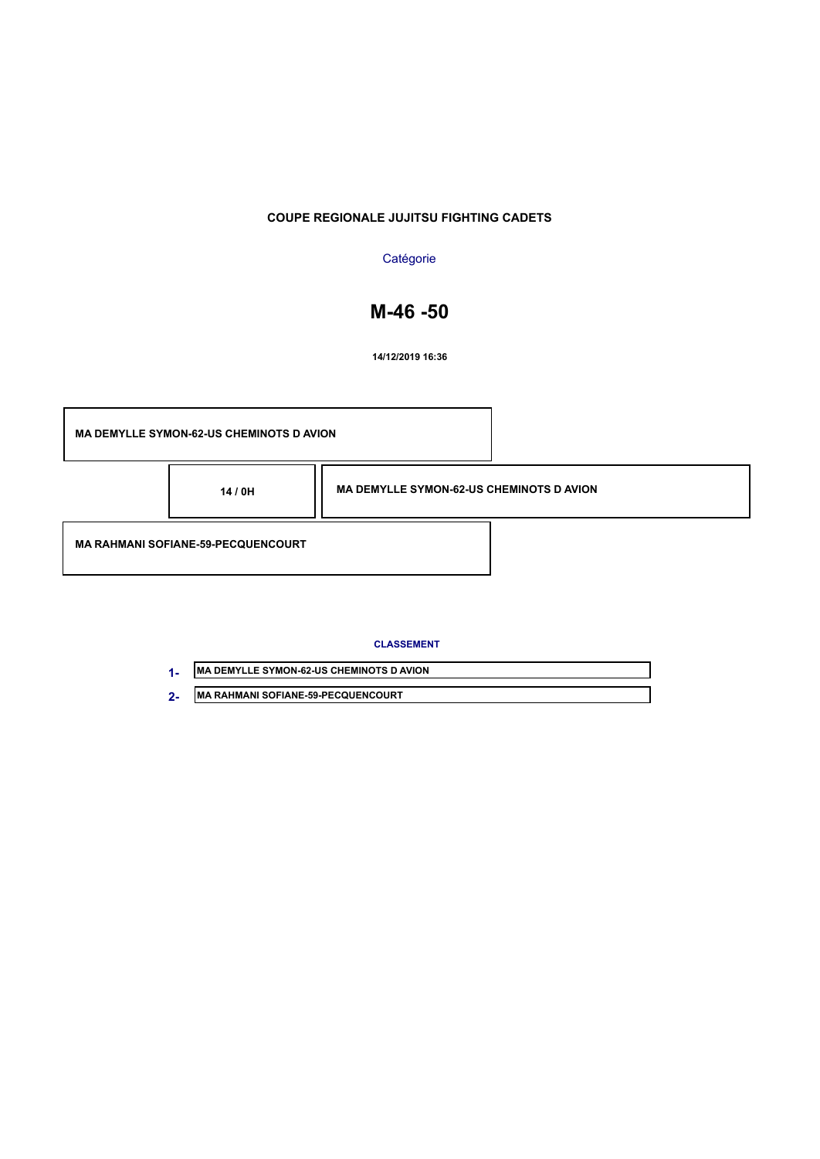## **Catégorie**

# **M-46 -50**

**14/12/2019 16:36**

| <b>MA DEMYLLE SYMON-62-US CHEMINOTS D AVION</b> |                                                 |  |
|-------------------------------------------------|-------------------------------------------------|--|
| 14 / 0H                                         | <b>MA DEMYLLE SYMON-62-US CHEMINOTS D AVION</b> |  |
| <b>MA RAHMANI SOFIANE-59-PECQUENCOURT</b>       |                                                 |  |

| <b>IMA DEMYLLE SYMON-62-US CHEMINOTS D AVION</b> |
|--------------------------------------------------|
| <b>IMA RAHMANI SOFIANE-59-PECQUENCOURT</b>       |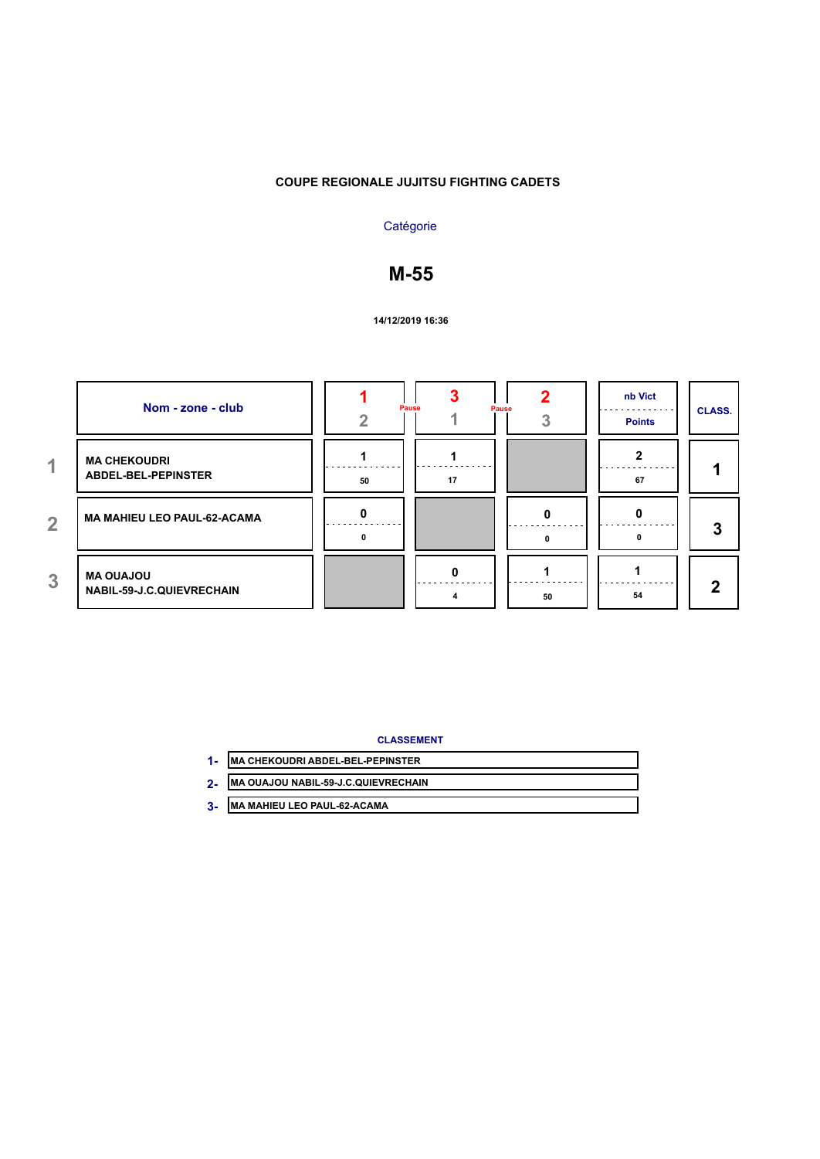## **Catégorie**

# **M-55**

#### **14/12/2019 16:36**

|                | Nom - zone - club                                    | Pause |    | Pause | nb Vict<br><b>Points</b> | <b>CLASS.</b> |
|----------------|------------------------------------------------------|-------|----|-------|--------------------------|---------------|
| 4.             | <b>MA CHEKOUDRI</b><br><b>ABDEL-BEL-PEPINSTER</b>    | 50    | 17 |       | 67                       |               |
| $\overline{2}$ | <b>MA MAHIEU LEO PAUL-62-ACAMA</b>                   |       |    |       |                          | 3             |
| 3              | <b>MA OUAJOU</b><br><b>NABIL-59-J.C.QUIEVRECHAIN</b> |       | 0  | 50    | 54                       | $\mathbf{2}$  |

- **MA CHEKOUDRI ABDEL-BEL-PEPINSTER 1-**
- **MA OUAJOU NABIL-59-J.C.QUIEVRECHAIN 2-**
- **MA MAHIEU LEO PAUL-62-ACAMA 3-**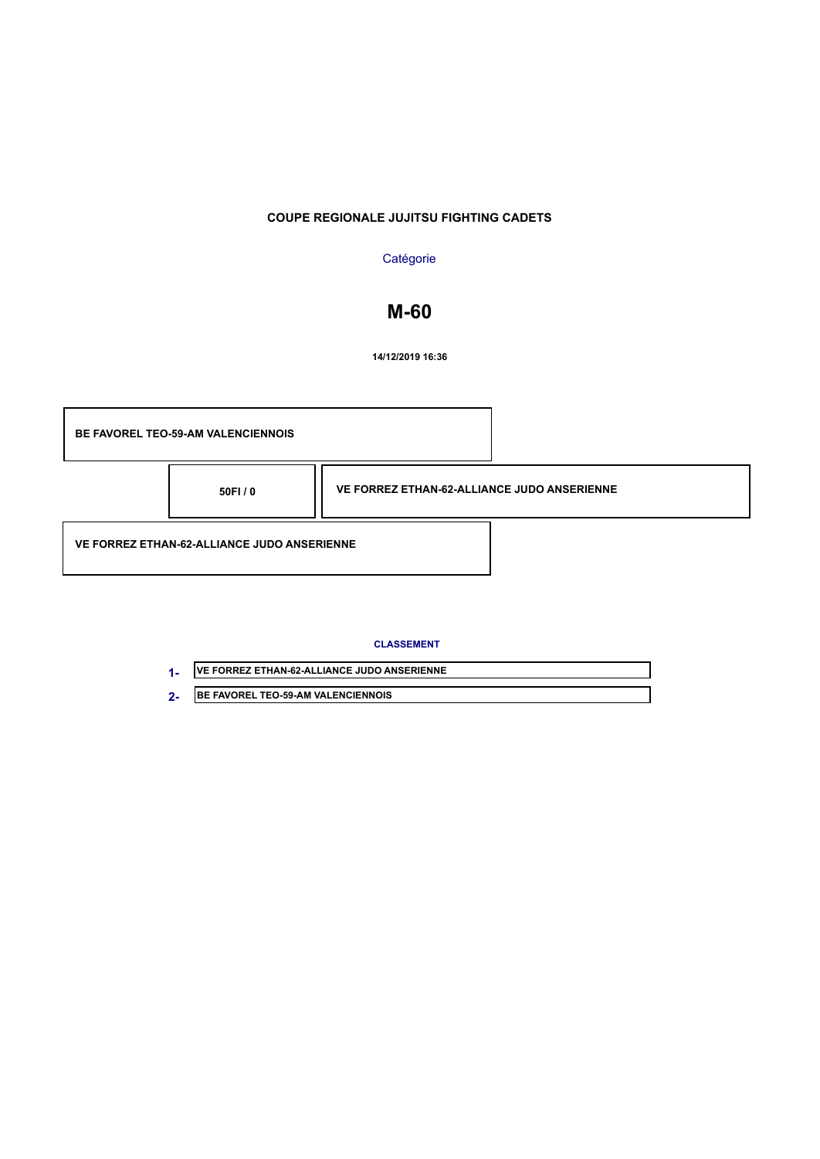### **Catégorie**

# **M-60**

**14/12/2019 16:36**



| <b>IVE FORREZ ETHAN-62-ALLIANCE JUDO ANSERIENNE</b> |
|-----------------------------------------------------|
| <b>IBE FAVOREL TEO-59-AM VALENCIENNOIS</b>          |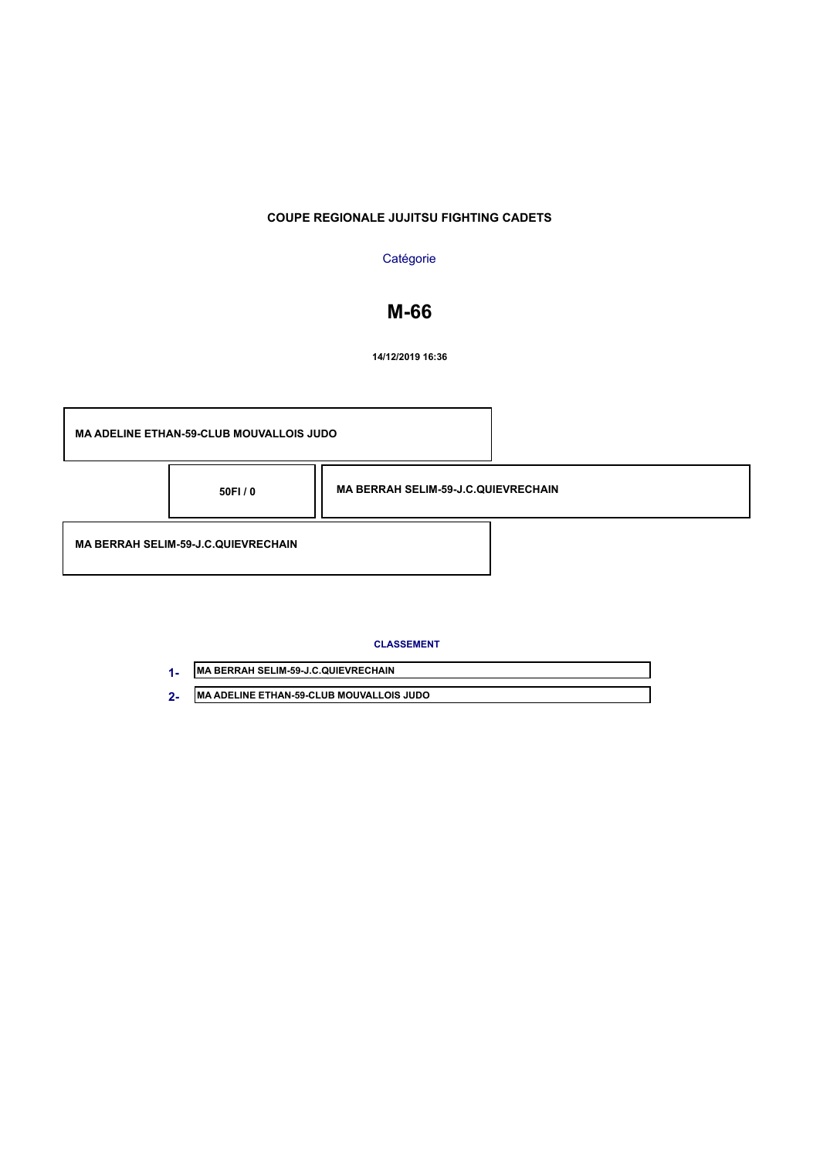## **Catégorie**

# **M-66**

**14/12/2019 16:36**

|                                            | <b>MA ADELINE ETHAN-59-CLUB MOUVALLOIS JUDO</b> |                                            |  |
|--------------------------------------------|-------------------------------------------------|--------------------------------------------|--|
|                                            | 50FI/0                                          | <b>MA BERRAH SELIM-59-J.C.QUIEVRECHAIN</b> |  |
| <b>MA BERRAH SELIM-59-J.C.QUIEVRECHAIN</b> |                                                 |                                            |  |

|            | <b>MA BERRAH SELIM-59-J.C.QUIEVRECHAIN</b>      |
|------------|-------------------------------------------------|
| $\sqrt{2}$ | <b>MA ADELINE ETHAN-59-CLUB MOUVALLOIS JUDO</b> |